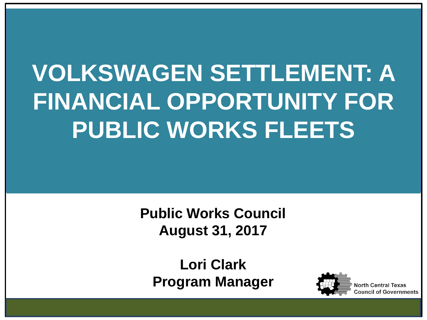# **VOLKSWAGEN SETTLEMENT: A FINANCIAL OPPORTUNITY FOR PUBLIC WORKS FLEETS**

**Public Works Council August 31, 2017**

**Lori Clark Program Manager**

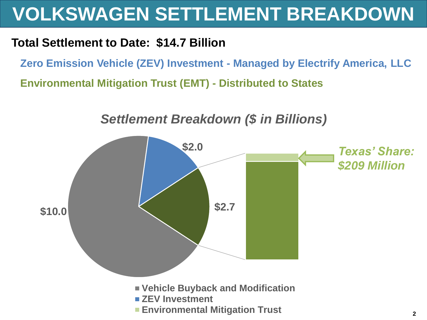## **VOLKSWAGEN SETTLEMENT BREAKDOWN**

#### **Total Settlement to Date: \$14.7 Billion**

**Zero Emission Vehicle (ZEV) Investment - Managed by Electrify America, LLC**

**Environmental Mitigation Trust (EMT) - Distributed to States**



#### *Settlement Breakdown (\$ in Billions)*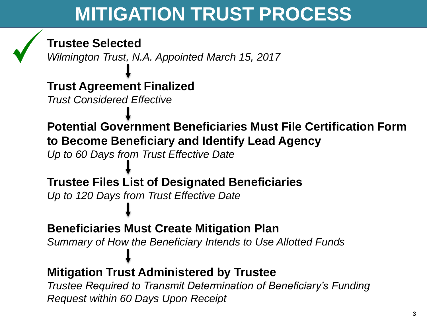## **MITIGATION TRUST PROCESS**



#### **Trustee Selected**

*Wilmington Trust, N.A. Appointed March 15, 2017*

#### **Trust Agreement Finalized**

*Trust Considered Effective*

**Potential Government Beneficiaries Must File Certification Form to Become Beneficiary and Identify Lead Agency**  *Up to 60 Days from Trust Effective Date*

**Trustee Files List of Designated Beneficiaries** *Up to 120 Days from Trust Effective Date*

**Beneficiaries Must Create Mitigation Plan** *Summary of How the Beneficiary Intends to Use Allotted Funds*

#### **Mitigation Trust Administered by Trustee**

*Trustee Required to Transmit Determination of Beneficiary's Funding Request within 60 Days Upon Receipt*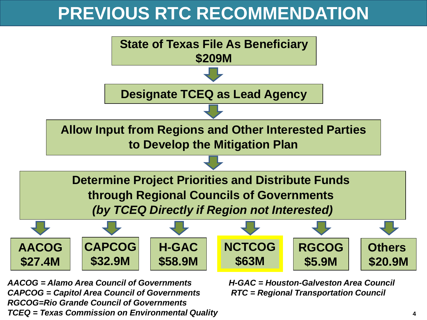### **PREVIOUS RTC RECOMMENDATION**



*AACOG = Alamo Area Council of Governments H-GAC = Houston-Galveston Area Council CAPCOG = Capitol Area Council of Governments RTC = Regional Transportation Council RGCOG=Rio Grande Council of Governments TCEQ = Texas Commission on Environmental Quality* **4**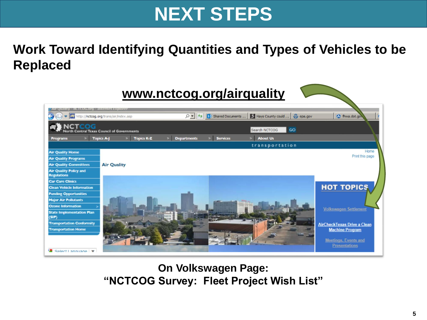### **NEXT STEPS**

### **Work Toward Identifying Quantities and Types of Vehicles to be Replaced**



**On Volkswagen Page: "NCTCOG Survey: Fleet Project Wish List"**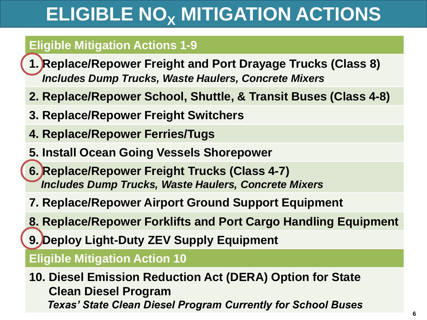# **ELIGIBLE NO<sup>X</sup> MITIGATION ACTIONS**

#### **Eligible Mitigation Actions 1-9**

- **1. Replace/Repower Freight and Port Drayage Trucks (Class 8)** *Includes Dump Trucks, Waste Haulers, Concrete Mixers*
- **2. Replace/Repower School, Shuttle, & Transit Buses (Class 4-8)**
- **3. Replace/Repower Freight Switchers**
- **4. Replace/Repower Ferries/Tugs**
- **5. Install Ocean Going Vessels Shorepower**
- **6. Replace/Repower Freight Trucks (Class 4-7)** *Includes Dump Trucks, Waste Haulers, Concrete Mixers*
- **7. Replace/Repower Airport Ground Support Equipment**
- **8. Replace/Repower Forklifts and Port Cargo Handling Equipment**
- **9. Deploy Light-Duty ZEV Supply Equipment**

#### **Eligible Mitigation Action 10**

**10. Diesel Emission Reduction Act (DERA) Option for State Clean Diesel Program** *Texas' State Clean Diesel Program Currently for School Buses*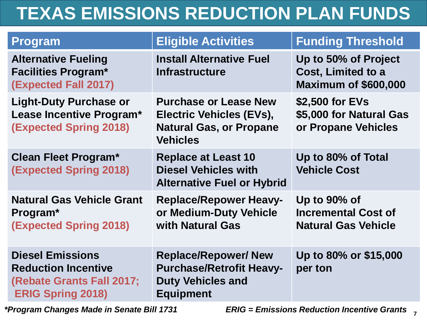## **TEXAS EMISSIONS REDUCTION PLAN FUNDS**

| <b>Program</b>                                                                                                 | <b>Eligible Activities</b>                                                                                     | <b>Funding Threshold</b>                                                  |
|----------------------------------------------------------------------------------------------------------------|----------------------------------------------------------------------------------------------------------------|---------------------------------------------------------------------------|
| <b>Alternative Fueling</b><br><b>Facilities Program*</b><br><b>(Expected Fall 2017)</b>                        | <b>Install Alternative Fuel</b><br><b>Infrastructure</b>                                                       | Up to 50% of Project<br>Cost, Limited to a<br><b>Maximum of \$600,000</b> |
| <b>Light-Duty Purchase or</b><br>Lease Incentive Program*<br><b>(Expected Spring 2018)</b>                     | <b>Purchase or Lease New</b><br>Electric Vehicles (EVs),<br><b>Natural Gas, or Propane</b><br><b>Vehicles</b>  | \$2,500 for EVs<br>\$5,000 for Natural Gas<br>or Propane Vehicles         |
| <b>Clean Fleet Program*</b><br><b>(Expected Spring 2018)</b>                                                   | <b>Replace at Least 10</b><br><b>Diesel Vehicles with</b><br><b>Alternative Fuel or Hybrid</b>                 | Up to 80% of Total<br><b>Vehicle Cost</b>                                 |
| <b>Natural Gas Vehicle Grant</b><br>Program <sup>*</sup><br><b>(Expected Spring 2018)</b>                      | <b>Replace/Repower Heavy-</b><br>or Medium-Duty Vehicle<br>with Natural Gas                                    | Up to 90% of<br><b>Incremental Cost of</b><br><b>Natural Gas Vehicle</b>  |
| <b>Diesel Emissions</b><br><b>Reduction Incentive</b><br>(Rebate Grants Fall 2017;<br><b>ERIG Spring 2018)</b> | <b>Replace/Repower/ New</b><br><b>Purchase/Retrofit Heavy-</b><br><b>Duty Vehicles and</b><br><b>Equipment</b> | Up to 80% or \$15,000<br>per ton                                          |

**7** *\*Program Changes Made in Senate Bill 1731 ERIG = Emissions Reduction Incentive Grants*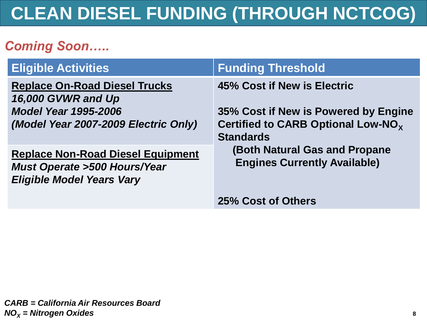### **CLEAN DIESEL FUNDING (THROUGH NCTCOG)**

### *Coming Soon…..*

| <b>Eligible Activities</b>                                                                                                        | <b>Funding Threshold</b>                                                                                                                  |  |
|-----------------------------------------------------------------------------------------------------------------------------------|-------------------------------------------------------------------------------------------------------------------------------------------|--|
| <b>Replace On-Road Diesel Trucks</b><br>16,000 GVWR and Up<br><b>Model Year 1995-2006</b><br>(Model Year 2007-2009 Electric Only) | 45% Cost if New is Electric<br>35% Cost if New is Powered by Engine<br>Certified to CARB Optional Low-NO <sub>x</sub><br><b>Standards</b> |  |
| <b>Replace Non-Road Diesel Equipment</b><br><b>Must Operate &gt;500 Hours/Year</b><br><b>Eligible Model Years Vary</b>            | <b>(Both Natural Gas and Propane</b><br><b>Engines Currently Available)</b>                                                               |  |
|                                                                                                                                   | 25% Cost of Others                                                                                                                        |  |